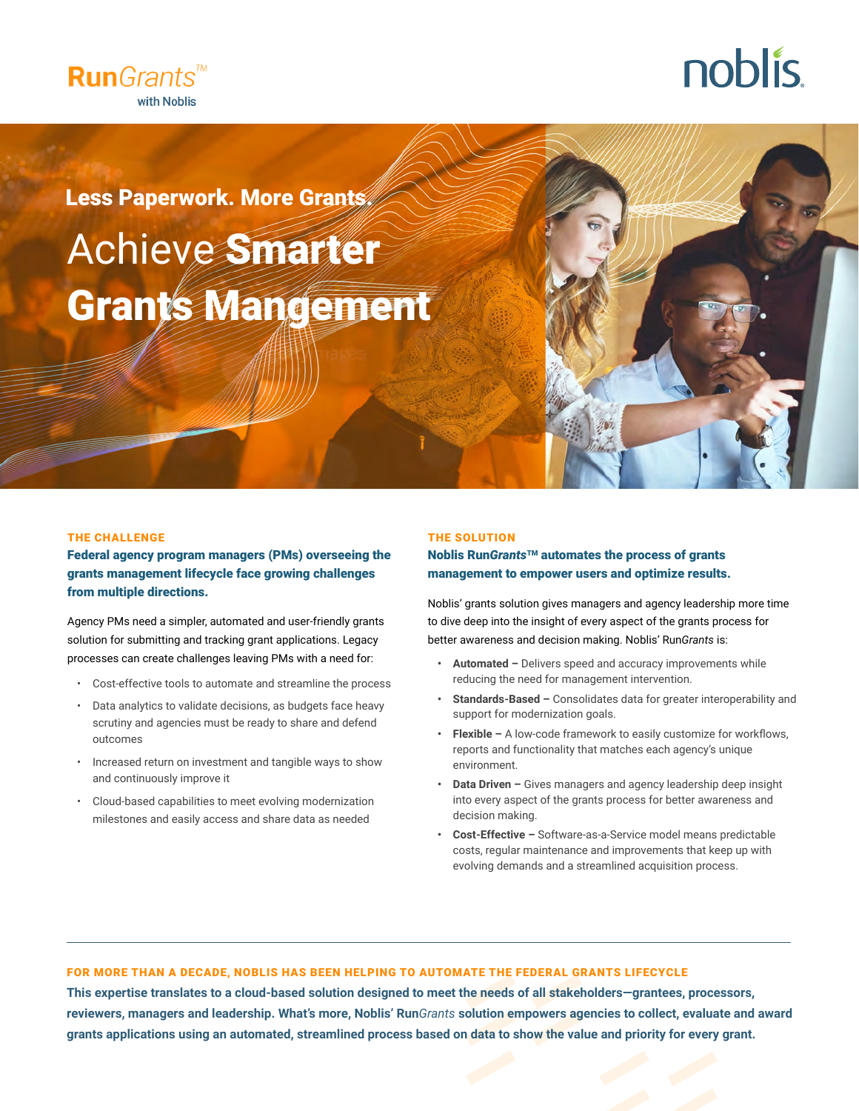

# noblis.

Less Paperwork. More Grants.

# Achieve Smarter Grants Mangement

#### THE CHALLENGE

Federal agency program managers (PMs) overseeing the grants management lifecycle face growing challenges from multiple directions.

Agency PMs need a simpler, automated and user-friendly grants solution for submitting and tracking grant applications. Legacy processes can create challenges leaving PMs with a need for:

- Cost-effective tools to automate and streamline the process
- Data analytics to validate decisions, as budgets face heavy scrutiny and agencies must be ready to share and defend outcomes
- Increased return on investment and tangible ways to show and continuously improve it
- Cloud-based capabilities to meet evolving modernization milestones and easily access and share data as needed

#### THE SOLUTION

### Noblis Run*Grants*TM automates the process of grants management to empower users and optimize results.

Noblis' grants solution gives managers and agency leadership more time to dive deep into the insight of every aspect of the grants process for better awareness and decision making. Noblis' Run*Grants* is:

- **• Automated –** Delivers speed and accuracy improvements while reducing the need for management intervention.
- **• Standards-Based** Consolidates data for greater interoperability and support for modernization goals.
- **• Flexible –** A low-code framework to easily customize for workflows, reports and functionality that matches each agency's unique environment.
- **• Data Driven –** Gives managers and agency leadership deep insight into every aspect of the grants process for better awareness and decision making.
- **• Cost-Effective –** Software-as-a-Service model means predictable costs, regular maintenance and improvements that keep up with evolving demands and a streamlined acquisition process.

# FOR MORE THAN A DECADE, NOBLIS HAS BEEN HELPING TO AUTOMATE THE FEDERAL GRANTS LIFECYCLE

**This expertise translates to a cloud-based solution designed to meet the needs of all stakeholders—grantees, processors, reviewers, managers and leadership. What's more, Noblis' Run***Grants* **solution empowers agencies to collect, evaluate and award grants applications using an automated, streamlined process based on data to show the value and priority for every grant.**